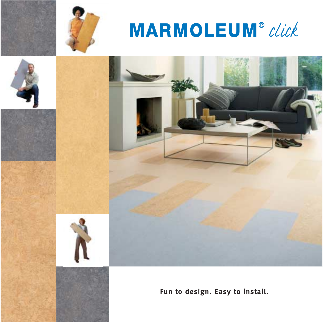

# **MARMOLEUM**® click







**Fun to design. Easy to install.**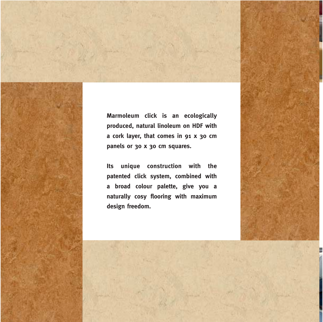**Marmoleum click is an ecologically produced, natural linoleum on HDF with a cork layer, that comes in 91 x 30 cm panels or 30 x 30 cm squares.**

**Its unique construction with the patented click system, combined with a broad colour palette, give you a naturally cosy flooring with maximum design freedom.**

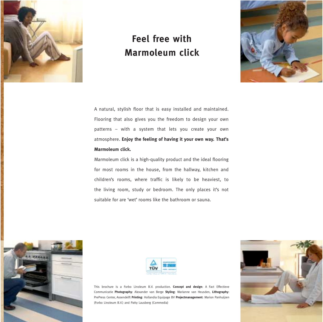

# **Feel free with Marmoleum click**



A natural, stylish floor that is easy installed and maintained. Flooring that also gives you the freedom to design your own patterns – with a system that lets you create your own atmosphere. **Enjoy the feeling of having it your own way. That's Marmoleum click.**

Marmoleum click is a high-quality product and the ideal flooring for most rooms in the house, from the hallway, kitchen and children's rooms, where traffic is likely to be heaviest, to the living room, study or bedroom. The only places it's not suitable for are 'wet' rooms like the bathroom or sauna.





This brochure is a Forbo Linoleum B.V. production. **Concept and design**: A Fact Effectieve Communicatie **Photography**: Alexander van Berge **Styling**: Marianne van Heusden, **Lithography**: PrePress Center, Assendelft **Printing**: Hollandia Equipage BV **Projectmanagement**: Marion Panhuijzen (Forbo Linoleum B.V.) and Patty Lausberg (Commedia)

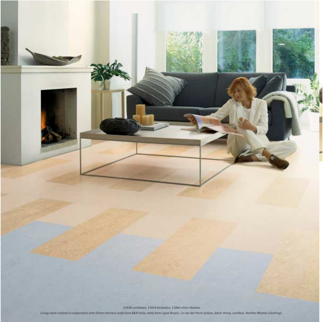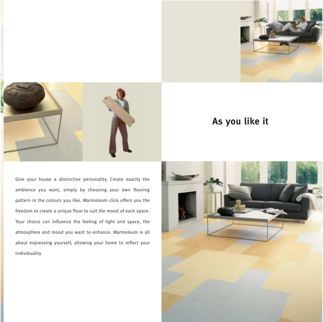



# **As you like it**

Give your house a distinctive personality. Create exactly the ambience you want, simply by choosing your own flooring pattern in the colours you like. Marmoleum click offers you the freedom to create a unique floor to suit the mood of each space. Your choice can influence the feeling of light and space, the atmosphere and mood you want to enhance. Marmoleum is all about expressing yourself, allowing your home to reflect your individuality.

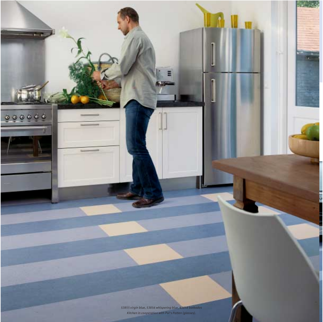*53855 virgin blue, 53856 whispering blue, 63858 barbados Kitchen in cooperation with Pol's Potten (glasses).*

 $000000$ 

 $12 - 1$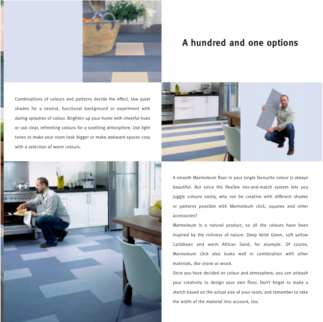

## **A hundred and one options**

Combinations of colours and patterns decide the effect. Use quiet shades for a neutral, functional background or experiment with daring splashes of colour. Brighten up your home with cheerful hues or use clear, refreshing colours for a soothing atmosphere. Use light tones to make your room look bigger or make awkward spaces cosy with a selection of warm colours.





A smooth Marmoleum floor in your single favourite colour is always beautiful. But since the flexible mix-and-match system lets you juggle colours easily, why not be creative with different shades or patterns possible with Marmoleum click, squares and other accessories?

Marmoleum is a natural product, so all the colours have been inspired by the richness of nature. Deep Verdi Green, soft yellow Caribbean and warm African Sand, for example. Of course, Marmoleum click also looks well in combination with other materials, like stone or wood.

Once you have decided on colour and atmosphere, you can unleash your creativity to design your own floor. Don't forget to make a sketch based on the actual size of your room, and remember to take the width of the material into account, too.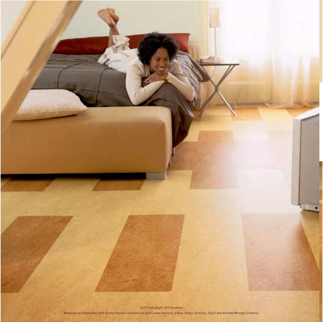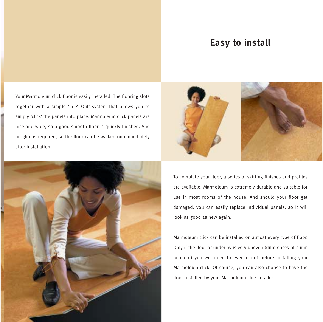# **Easy to install**

Your Marmoleum click floor is easily installed. The flooring slots together with a simple 'In & Out' system that allows you to simply 'click' the panels into place. Marmoleum click panels are nice and wide, so a good smooth floor is quickly finished. And no glue is required, so the floor can be walked on immediately after installation.





To complete your floor, a series of skirting finishes and profiles are available. Marmoleum is extremely durable and suitable for use in most rooms of the house. And should your floor get damaged, you can easily replace individual panels, so it will look as good as new again.

Marmoleum click can be installed on almost every type of floor. Only if the floor or underlay is very uneven (differences of 2 mm or more) you will need to even it out before installing your Marmoleum click. Of course, you can also choose to have the floor installed by your Marmoleum click retailer.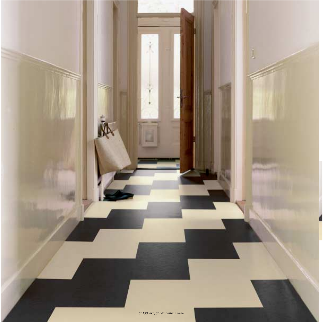*53139 lava, 53861 arabian pearl*

Î.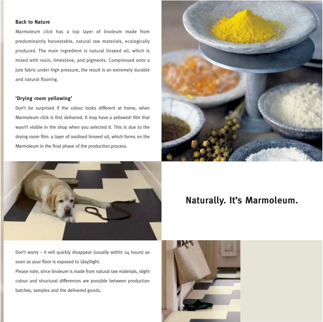#### **Back to Nature**

Marmoleum click has a top layer of linoleum made from predominantly harvestable, natural raw materials, ecologically produced. The main ingredient is natural linseed oil, which is mixed with rosin, limestone, and pigments. Compressed onto a jute fabric under high pressure, the result is an extremely durable and natural flooring.

#### **'Drying room yellowing'**

Don't be surprised if the colour looks different at home, when Marmoleum click is first delivered. It may have a yellowish film that wasn't visible in the shop when you selected it. This is due to the drying room film: a layer of oxidised linseed oil, which forms on the Marmoleum in the final phase of the production process.





### **Naturally. It's Marmoleum.**

Don't worry – it will quickly disappear (usually within 24 hours) as soon as your floor is exposed to (day)light.

Please note, since linoleum is made from natural raw materials, slight colour and structural differences are possible between production batches, samples and the delivered goods.

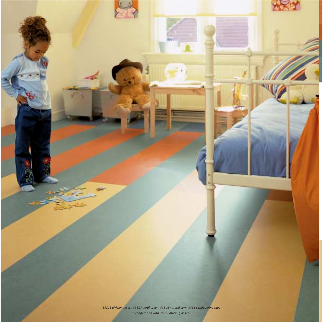*53825 african desert, 53827 verdi green, 53846 natural corn, 53856 whispering blue In cooperation with Pol's Potten (glasses).*

XXX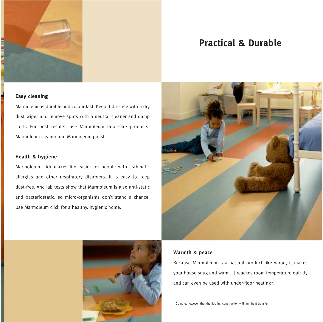

# **Practical & Durable**

#### **Easy cleaning**

Marmoleum is durable and colour-fast. Keep it dirt-free with a dry dust wiper and remove spots with a neutral cleaner and damp cloth. For best results, use Marmoleum floor-care products: Marmoleum cleaner and Marmoleum polish.

#### **Health & hygiene**

Marmoleum click makes life easier for people with asthmatic allergies and other respiratory disorders. It is easy to keep dust-free. And lab tests show that Marmoleum is also anti-static and bacteriostatic, so micro-organisms don't stand a chance. Use Marmoleum click for a healthy, hygienic home.





#### **Warmth & peace**

Because Marmoleum is a natural product like wood, it makes your house snug and warm. It reaches room temperature quickly and can even be used with under-floor heating\*.

\* Do note, however, that the flooring construction will limit heat transfer.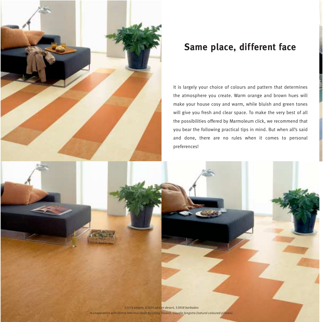

# **Same place, different face**

It is largely your choice of colours and pattern that determines the atmosphere you create. Warm orange and brown hues will make your house cosy and warm, while bluish and green tones will give you fresh and clear space. To make the very best of all the possibilities offered by Marmoleum click, we recommend that you bear the following practical tips in mind. But when all's said and done, there are no rules when it comes to personal preferences!

*53174 sahara, 63825 african desert, 53858 barbados In cooperation with Dintra Interieur (sofa by Living Divani), Claudie Jongstra (natural coloured pillows).*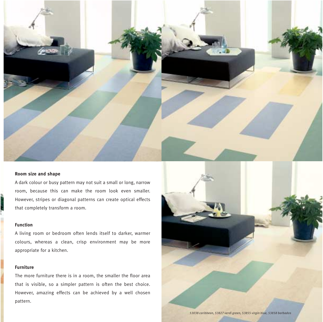

#### **Room size and shape**

A dark colour or busy pattern may not suit a small or long, narrow room, because this can make the room look even smaller. However, stripes or diagonal patterns can create optical effects that completely transform a room.

#### **Function**

**SERVICE ST** 

A living room or bedroom often lends itself to darker, warmer colours, whereas a clean, crisp environment may be more appropriate for a kitchen.

#### **Furniture**

The more furniture there is in a room, the smaller the floor area that is visible, so a simpler pattern is often the best choice. However, amazing effects can be achieved by a well chosen pattern.

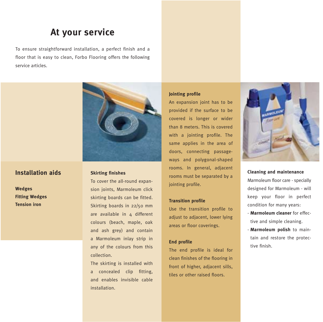# **At your service**

To ensure straightforward installation, a perfect finish and a floor that is easy to clean, Forbo Flooring offers the following service articles.



#### **Installation aids**

**Wedges Fitting Wedges Tension iron**

#### **Skirting finishes**

To cover the all-round expansion joints, Marmoleum click skirting boards can be fitted. Skirting boards in 22/50 mm are available in 4 different colours (beach, maple, oak and ash grey) and contain a Marmoleum inlay strip in any of the colours from this collection.

The skirting is installed with a concealed clip fitting, and enables invisible cable installation.

#### **Jointing profile**

An expansion joint has to be provided if the surface to be covered is longer or wider than 8 meters. This is covered with a jointing profile. The same applies in the area of doors, connecting passageways and polygonal-shaped rooms. In general, adjacent rooms must be separated by a jointing profile.

#### **Transition profile**

Use the transition profile to adjust to adjacent, lower lying areas or floor coverings.

#### **End profile**

The end profile is ideal for clean finishes of the flooring in front of higher, adjacent sills, tiles or other raised floors.



**Cleaning and maintenance**  Marmoleum floor care - specially designed for Marmoleum - will keep your floor in perfect condition for many years:

- **Marmoleum cleaner** for effective and simple cleaning.
- **Marmoleum polish** to maintain and restore the protective finish.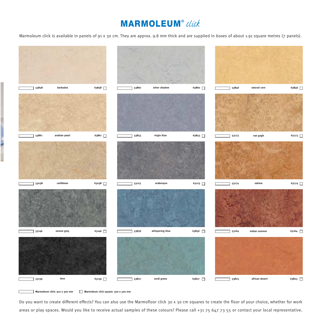# **MARMOLEUM**® click

Marmoleum click is available in panels of 91 x 30 cm. They are approx. 9.8 mm thick and are supplied in boxes of about 1.91 square metres (7 panels).



**Marmoleum click: 910 x 300 mm Marmoleum click square: 300 x 300 mm**

Do you want to create different effects? You can also use the Marmofloor click 30 x 30 cm squares to create the floor of your choice, whether for work areas or play spaces. Would you like to receive actual samples of these colours? Please call +31 75 647 73 55 or contact your local representative.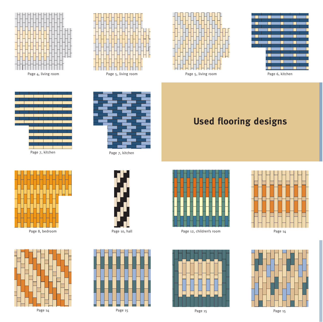









Page 7, kitchen





Page 14



Page 7, kitchen











Page 12, children's room







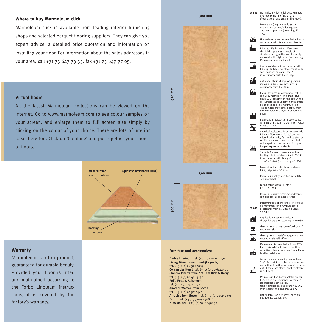#### **Where to buy Marmoleum click**

Marmoleum click is available from leading interior furnishing shops and selected parquet flooring suppliers. They can give you expert advice, a detailed price quotation and information on installing your floor. For information about the sales addresses in your area, call +31 75 647 73 55, fax +31 75 647 77 05.

**300 mm**

#### **Virtual floors**

All the latest Marmoleum collections can be viewed on the Internet. Go to www.marmoleum.com to see colour samples on your screen, and enlarge them to full screen size simply by clicking on the colour of your choice. There are lots of interior ideas here too. Click on 'Combine' and put together your choice of floors.



#### **Warranty**

Marmoleum is a top product, guaranteed for durable beauty. Provided your floor is fitted and maintained according to the Forbo Linoleum instructions, it is covered by the factory's warranty.



**Living Divani from Huisstijl agents**, tel. (+31) (0)76-5222089 **Co van der Horst**, tel. (+31) (0)20-6412505 **Claudie Jonstra from Not Tom Dick & Harry**, tel. (+31) (0)20-4284230 **Pol's Potten, Aalsmeer**, tel. (+31) (0)297-329222 **Another Woman from Secon**, tel. (+31) (0)20-5114440 **A-rticles from Secon**, tel. (+31) (0)205114394 **Esprit**, tel. (+31) (0)20-5750808

is sufficient. Marmoleum has bacteriostatic properties, which are confirmed by famous laboratories such as TNO (The Netherlands) and NAMSA (USA), even against the bacteria MRSA.

and efficient method of removing loose dirt. If there are stains, spot-treatment

Not suitable for wet areas, such as bathrooms, saunas, etc.